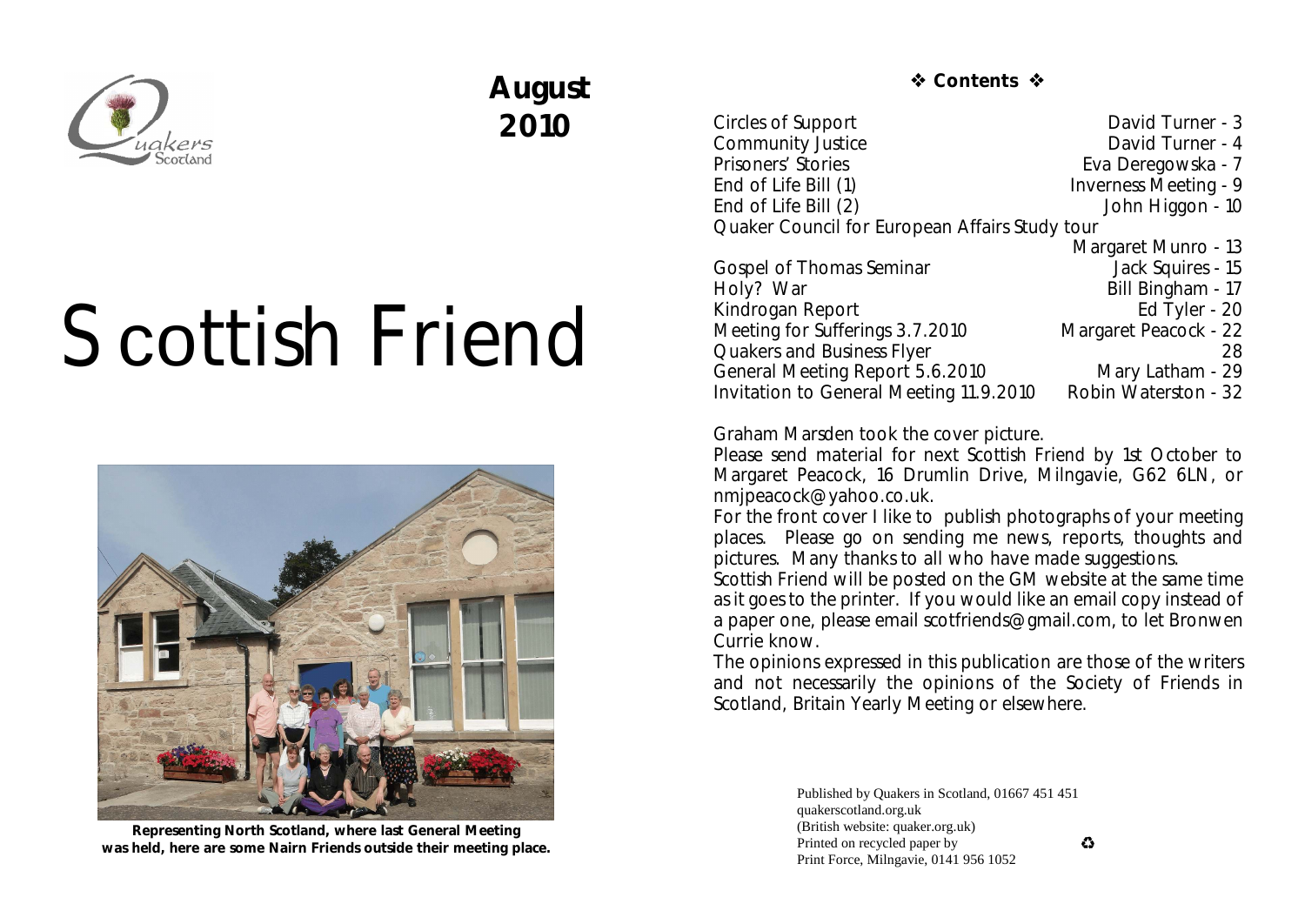

## **August 2010**

# Scottish Friend



**Representing North Scotland, where last General Meeting was held, here are some Nairn Friends outside their meeting place.**

 **☆ Contents ☆** 

Circles of Support David Turner - 3<br>
Community Justice David Turner - 4 Community Justice<br>Prisoners' Stories Eva Deregowska - 7 End of Life Bill (1) Inverness Meeting - 9 End of Life Bill (2) Solid Company of Life Bill (2) Solid Company of Life Bill (2) Quaker Council for European Affairs Study tour Margaret Munro - 13<br>Jack Squires - 15 Gospel of Thomas Seminar<br>Holv? War Bill Bingham - 17<br>Ed Tyler - 20 Kindrogan Report Ed Tyler - 20<br>Meeting for Sufferings 3.7.2010 Margaret Peacock - 22 Meeting for Sufferings 3.7.2010 Quakers and Business Flyer 28 General Meeting Report 5.6.2010 Mary Latham - 29 Invitation to General Meeting 11.9.2010 Robin Waterston - 32

Graham Marsden took the cover picture.

Please send material for next *Scottish Friend* by 1st October to Margaret Peacock, 16 Drumlin Drive, Milngavie, G62 6LN, or nmjpeacock@yahoo.co.uk.

For the front cover I like to publish photographs of your meeting places. Please go on sending me news, reports, thoughts and pictures. Many thanks to all who have made suggestions.

*Scottish Friend* will be posted on the GM website at the same time as it goes to the printer. If you would like an email copy instead of a paper one, please email scotfriends@gmail.com, to let Bronwen Currie know.

The opinions expressed in this publication are those of the writers and not necessarily the opinions of the Society of Friends in Scotland, Britain Yearly Meeting or elsewhere.

> Published by Quakers in Scotland, 01667 451 451 quakerscotland.org.uk (British website: quaker.org.uk) Printed on recycled paper by Print Force, Milngavie, 0141 956 1052

 $\bullet$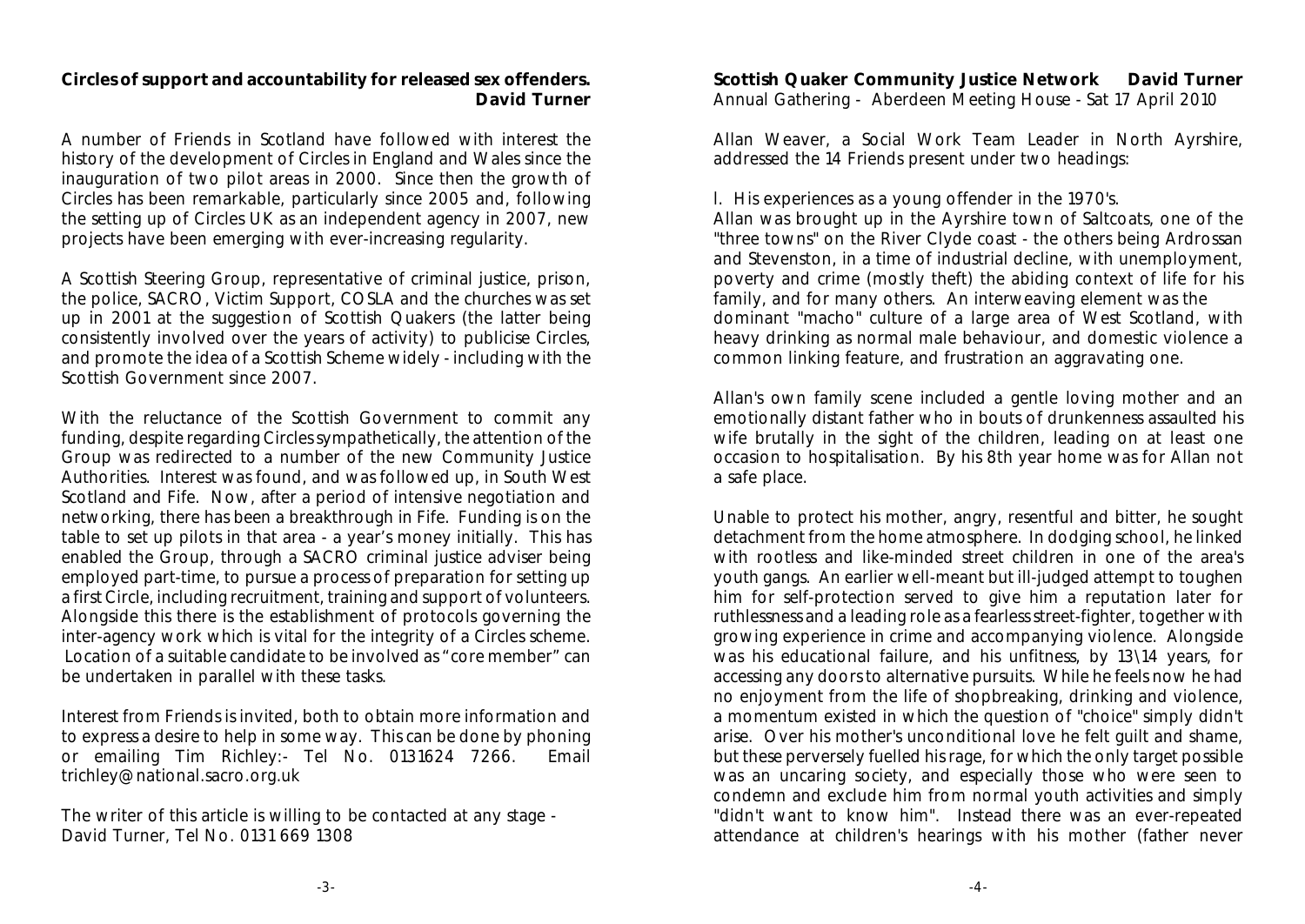**Circles of support and accountability for released sex offenders. David Turner**

A number of Friends in Scotland have followed with interest the history of the development of Circles in England and Wales since the inauguration of two pilot areas in 2000. Since then the growth of Circles has been remarkable, particularly since 2005 and, following the setting up of Circles UK as an independent agency in 2007, new projects have been emerging with ever-increasing regularity.

A Scottish Steering Group, representative of criminal justice, prison, the police, SACRO, Victim Support, COSLA and the churches was set up in 2001 at the suggestion of Scottish Quakers (the latter being consistently involved over the years of activity) to publicise Circles, and promote the idea of a Scottish Scheme widely - including with the Scottish Government since 2007.

With the reluctance of the Scottish Government to commit any funding, despite regarding Circles sympathetically, the attention of the Group was redirected to a number of the new Community Justice Authorities. Interest was found, and was followed up, in South West Scotland and Fife. Now, after a period of intensive negotiation and networking, there has been a breakthrough in Fife. Funding is on the table to set up pilots in that area - a year's money initially. This has enabled the Group, through a SACRO criminal justice adviser being employed part-time, to pursue a process of preparation for setting up a first Circle, including recruitment, training and support of volunteers. Alongside this there is the establishment of protocols governing the inter-agency work which is vital for the integrity of a Circles scheme. Location of a suitable candidate to be involved as "core member" can be undertaken in parallel with these tasks.

Interest from Friends is invited, both to obtain more information and to express a desire to help in some way. This can be done by phoning or emailing Tim Richley:- Tel No. 0131624 7266. Email trichley@national.sacro.org.uk

The writer of this article is willing to be contacted at any stage - David Turner, Tel No. 0131 669 1308

**Scottish Quaker Community Justice Network David Turner** Annual Gathering - Aberdeen Meeting House - Sat 17 April 2010

Allan Weaver, a Social Work Team Leader in North Ayrshire, addressed the 14 Friends present under two headings:

l. His experiences as a young offender in the 1970's.

Allan was brought up in the Ayrshire town of Saltcoats, one of the "three towns" on the River Clyde coast - the others being Ardrossan and Stevenston, in a time of industrial decline, with unemployment, poverty and crime (mostly theft) the abiding context of life for his family, and for many others. An interweaving element was the dominant "macho" culture of a large area of West Scotland, with heavy drinking as normal male behaviour, and domestic violence a common linking feature, and frustration an aggravating one.

Allan's own family scene included a gentle loving mother and an emotionally distant father who in bouts of drunkenness assaulted his wife brutally in the sight of the children, leading on at least one occasion to hospitalisation. By his 8th year home was for Allan not a safe place.

Unable to protect his mother, angry, resentful and bitter, he sought detachment from the home atmosphere. In dodging school, he linked with rootless and like-minded street children in one of the area's youth gangs. An earlier well-meant but ill-judged attempt to toughen him for self-protection served to give him a reputation later for ruthlessness and a leading role as a fearless street-fighter, together with growing experience in crime and accompanying violence. Alongside was his educational failure, and his unfitness, by 13\14 years, for accessing any doors to alternative pursuits. While he feels now he had no enjoyment from the life of shopbreaking, drinking and violence, a momentum existed in which the question of "choice" simply didn't arise. Over his mother's unconditional love he felt guilt and shame, but these perversely fuelled his rage, for which the only target possible was an uncaring society, and especially those who were seen to condemn and exclude him from normal youth activities and simply "didn't want to know him". Instead there was an ever-repeated attendance at children's hearings with his mother (father never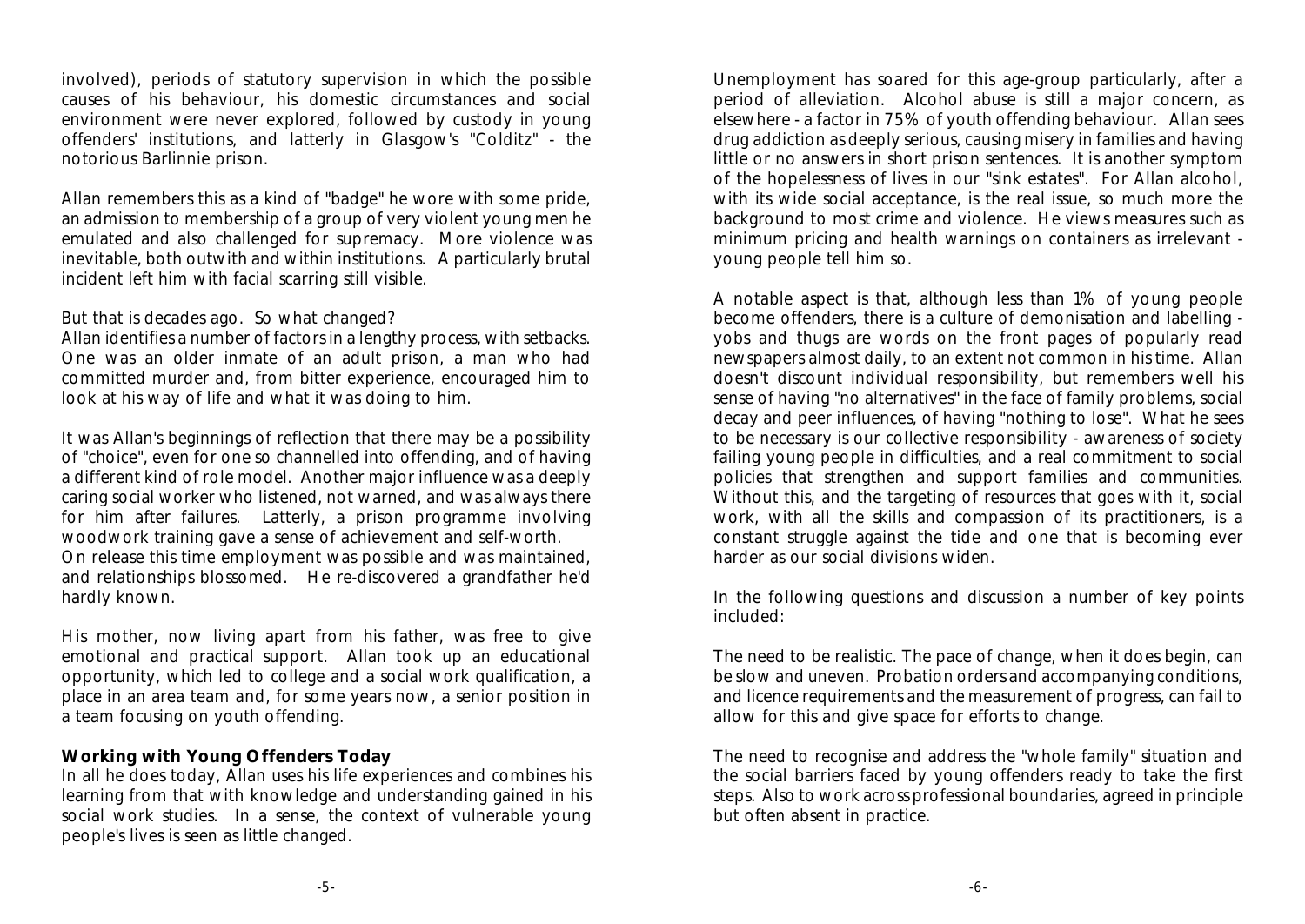involved), periods of statutory supervision in which the possible causes of his behaviour, his domestic circumstances and social environment were never explored, followed by custody in young offenders' institutions, and latterly in Glasgow's "Colditz" - the notorious Barlinnie prison.

Allan remembers this as a kind of "badge" he wore with some pride, an admission to membership of a group of very violent young men he emulated and also challenged for supremacy. More violence was inevitable, both outwith and within institutions. A particularly brutal incident left him with facial scarring still visible.

#### But that is decades ago. So what changed?

Allan identifies a number of factors in a lengthy process, with setbacks. One was an older inmate of an adult prison, a man who had committed murder and, from bitter experience, encouraged him to look at his way of life and what it was doing to him.

It was Allan's beginnings of reflection that there may be a possibility of "choice", even for one so channelled into offending, and of having a different kind of role model. Another major influence was a deeply caring social worker who listened, not warned, and was always there for him after failures. Latterly, a prison programme involving woodwork training gave a sense of achievement and self-worth. On release this time employment was possible and was maintained, and relationships blossomed. He re-discovered a grandfather he'd hardly known.

His mother, now living apart from his father, was free to give emotional and practical support. Allan took up an educational opportunity, which led to college and a social work qualification, a place in an area team and, for some years now, a senior position in a team focusing on youth offending.

#### **Working with Young Offenders Today**

In all he does today, Allan uses his life experiences and combines his learning from that with knowledge and understanding gained in his social work studies. In a sense, the context of vulnerable young people's lives is seen as little changed.

Unemployment has soared for this age-group particularly, after a period of alleviation. Alcohol abuse is still a major concern, as elsewhere - a factor in 75% of youth offending behaviour. Allan sees drug addiction as deeply serious, causing misery in families and having little or no answers in short prison sentences. It is another symptom of the hopelessness of lives in our "sink estates". For Allan alcohol, with its wide social acceptance, is the real issue, so much more the background to most crime and violence. He views measures such as minimum pricing and health warnings on containers as irrelevant young people tell him so.

A notable aspect is that, although less than 1% of young people become offenders, there is a culture of demonisation and labelling yobs and thugs are words on the front pages of popularly read newspapers almost daily, to an extent not common in his time. Allan doesn't discount individual responsibility, but remembers well his sense of having "no alternatives'' in the face of family problems, social decay and peer influences, of having "nothing to lose". What he sees to be necessary is our collective responsibility - awareness of society failing young people in difficulties, and a real commitment to social policies that strengthen and support families and communities. Without this, and the targeting of resources that goes with it, social work, with all the skills and compassion of its practitioners, is a constant struggle against the tide and one that is becoming ever harder as our social divisions widen.

In the following questions and discussion a number of key points included:

The need to be realistic. The pace of change, when it does begin, can be slow and uneven. Probation orders and accompanying conditions, and licence requirements and the measurement of progress, can fail to allow for this and give space for efforts to change.

The need to recognise and address the "whole family" situation and the social barriers faced by young offenders ready to take the first steps. Also to work across professional boundaries, agreed in principle but often absent in practice.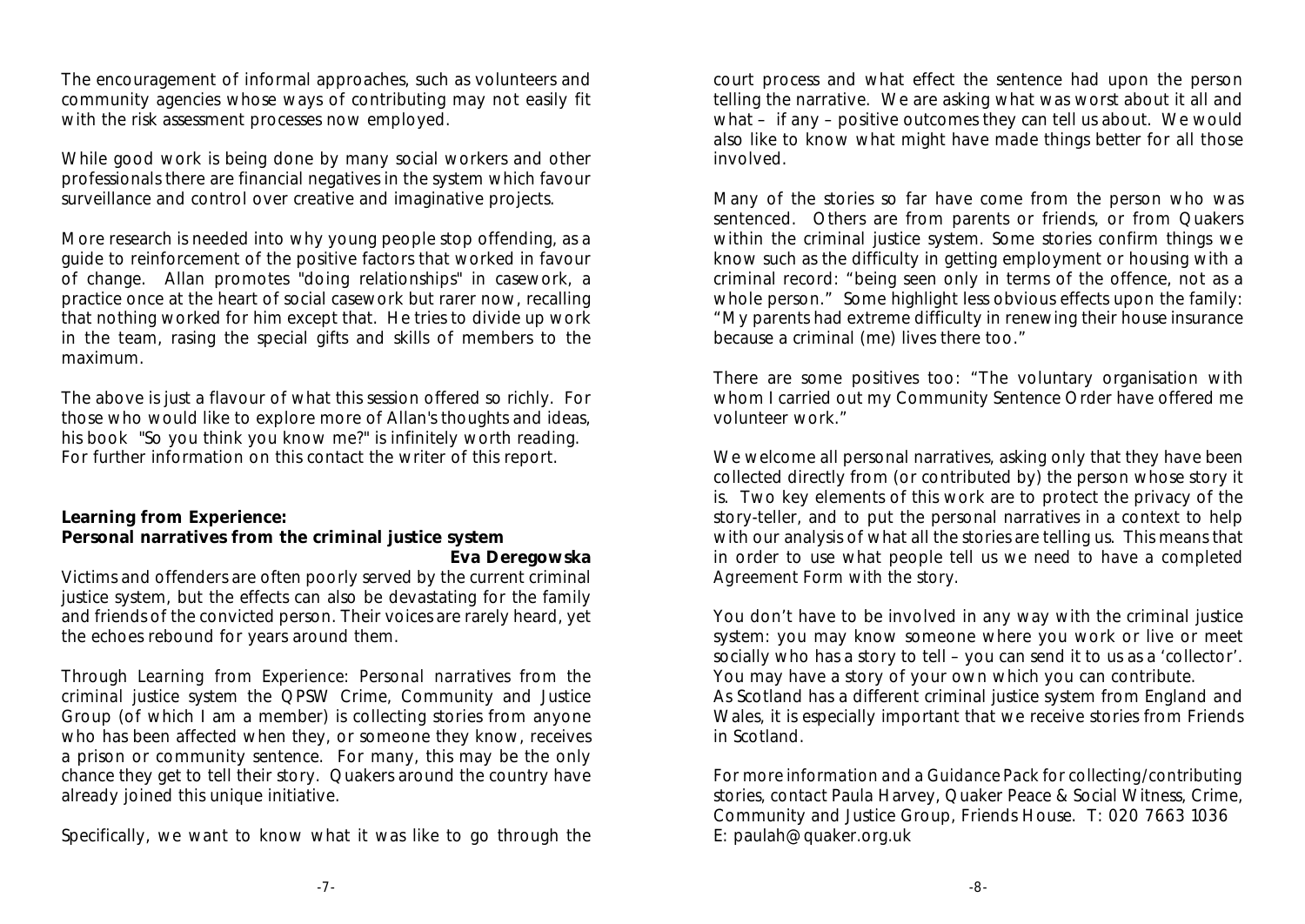The encouragement of informal approaches, such as volunteers and community agencies whose ways of contributing may not easily fit with the risk assessment processes now employed.

While good work is being done by many social workers and other professionals there are financial negatives in the system which favour surveillance and control over creative and imaginative projects.

More research is needed into why young people stop offending, as a guide to reinforcement of the positive factors that worked in favour of change. Allan promotes "doing relationships" in casework, a practice once at the heart of social casework but rarer now, recalling that nothing worked for him except that. He tries to divide up work in the team, rasing the special gifts and skills of members to the maximum.

The above is just a flavour of what this session offered so richly. For those who would like to explore more of Allan's thoughts and ideas, his book "So you think you know me?" is infinitely worth reading. For further information on this contact the writer of this report.

**Learning from Experience:**

**Personal narratives from the criminal justice system**

**Eva Deregowska** Victims and offenders are often poorly served by the current criminal justice system, but the effects can also be devastating for the family and friends of the convicted person. Their voices are rarely heard, yet the echoes rebound for years around them.

Through *Learning from Experience: Personal narratives from the criminal justice system* the QPSW Crime, Community and Justice Group (of which I am a member) is collecting stories from anyone who has been affected when they, or someone they know, receives a prison or community sentence. For many, this may be the only chance they get to tell their story. Quakers around the country have already joined this unique initiative.

Specifically, we want to know what it was like to go through the

court process and what effect the sentence had upon the person telling the narrative. We are asking what was worst about it all and what – if any – positive outcomes they can tell us about. We would also like to know what might have made things better for all those involved.

Many of the stories so far have come from the person who was sentenced. Others are from parents or friends, or from Quakers within the criminal justice system. Some stories confirm things we know such as the difficulty in getting employment or housing with a criminal record: "being seen only in terms of the offence, not as a whole person." Some highlight less obvious effects upon the family: "My parents had extreme difficulty in renewing their house insurance because a criminal (me) lives there too."

There are some positives too: "The voluntary organisation with whom I carried out my Community Sentence Order have offered me volunteer work."

We welcome all personal narratives, asking only that they have been collected directly from (or contributed by) the person whose story it is. Two key elements of this work are to protect the privacy of the story-teller, and to put the personal narratives in a context to help with our analysis of what all the stories are telling us. This means that in order to use what people tell us *we need to have a completed Agreement Form with the story.*

You don't have to be involved in any way with the criminal justice system: you may know someone where you work or live or meet socially who has a story to tell – you can send it to us as a 'collector'. You may have a story of your own which you can contribute. As Scotland has a different criminal justice system from England and Wales, it is especially important that we receive stories from Friends in Scotland.

*For more information and a Guidance Pack for collecting/contributing stories, contact* Paula Harvey, Quaker Peace & Social Witness, Crime, Community and Justice Group, Friends House. T: 020 7663 1036 E: paulah@quaker.org.uk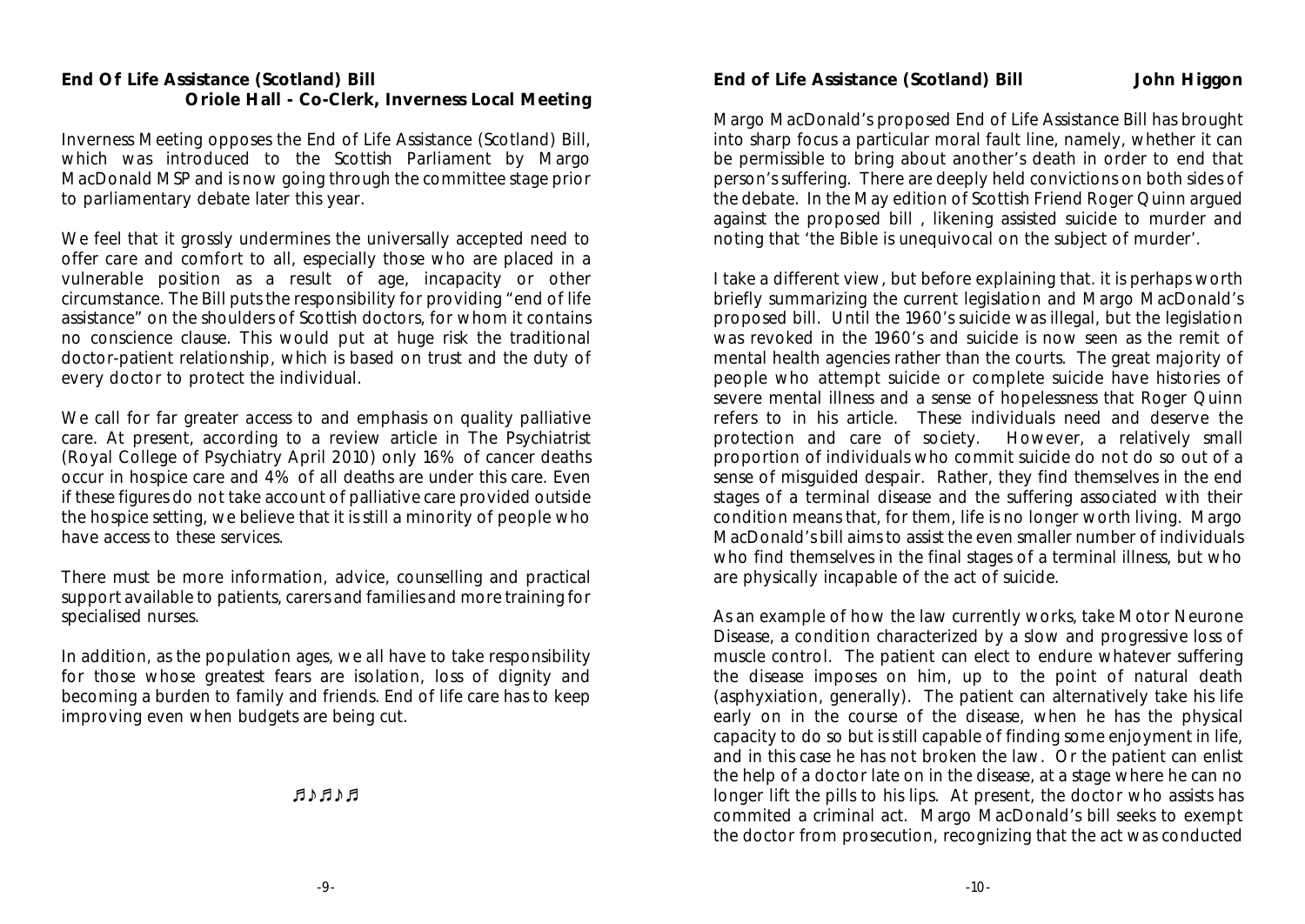Inverness Meeting opposes the End of Life Assistance (Scotland) Bill, which was introduced to the Scottish Parliament by Margo MacDonald MSP and is now going through the committee stage prior to parliamentary debate later this year.

We feel that it grossly undermines the universally accepted need to offer care and comfort to all, especially those who are placed in a vulnerable position as a result of age, incapacity or other circumstance. The Bill puts the responsibility for providing "end of life assistance" on the shoulders of Scottish doctors, for whom it contains no conscience clause. This would put at huge risk the traditional doctor-patient relationship, which is based on trust and the duty of every doctor to protect the individual.

We call for far greater access to and emphasis on quality palliative care. At present, according to a review article in The Psychiatrist (Royal College of Psychiatry April 2010) only 16% of cancer deaths occur in hospice care and 4% of all deaths are under this care. Even if these figures do not take account of palliative care provided outside the hospice setting, we believe that it is still a minority of people who have access to these services.

There must be more information, advice, counselling and practical support available to patients, carers and families and more training for specialised nurses.

In addition, as the population ages, we all have to take responsibility for those whose greatest fears are isolation, loss of dignity and becoming a burden to family and friends. End of life care has to keep improving even when budgets are being cut.

**EARAH** 

**End of Life Assistance (Scotland) Bill John Higgon**

Margo MacDonald's proposed End of Life Assistance Bill has brought into sharp focus a particular moral fault line, namely, whether it can be permissible to bring about another's death in order to end that person's suffering. There are deeply held convictions on both sides of the debate. In the May edition of Scottish Friend Roger Quinn argued against the proposed bill , likening assisted suicide to murder and noting that 'the Bible is unequivocal on the subject of murder'.

I take a different view, but before explaining that. it is perhaps worth briefly summarizing the current legislation and Margo MacDonald's proposed bill. Until the 1960's suicide was illegal, but the legislation was revoked in the 1960's and suicide is now seen as the remit of mental health agencies rather than the courts. The great majority of people who attempt suicide or complete suicide have histories of severe mental illness and a sense of hopelessness that Roger Quinn refers to in his article. These individuals need and deserve the protection and care of society. However, a relatively small proportion of individuals who commit suicide do not do so out of a sense of misguided despair. Rather, they find themselves in the end stages of a terminal disease and the suffering associated with their condition means that, *for them*, life is no longer worth living. Margo MacDonald's bill aims to assist the even smaller number of individuals who find themselves in the final stages of a terminal illness, but who are physically incapable of the act of suicide*.* 

As an example of how the law currently works, take Motor Neurone Disease, a condition characterized by a slow and progressive loss of muscle control. The patient can elect to endure whatever suffering the disease imposes on him, up to the point of natural death (asphyxiation, generally). The patient can alternatively take his life early on in the course of the disease, when he has the physical capacity to do so but is still capable of finding some enjoyment in life, and in this case he has not broken the law. Or the patient can enlist the help of a doctor late on in the disease, at a stage where he can no longer lift the pills to his lips. At present, the doctor who assists has commited a criminal act. Margo MacDonald's bill seeks to exempt the doctor from prosecution, recognizing that the act was conducted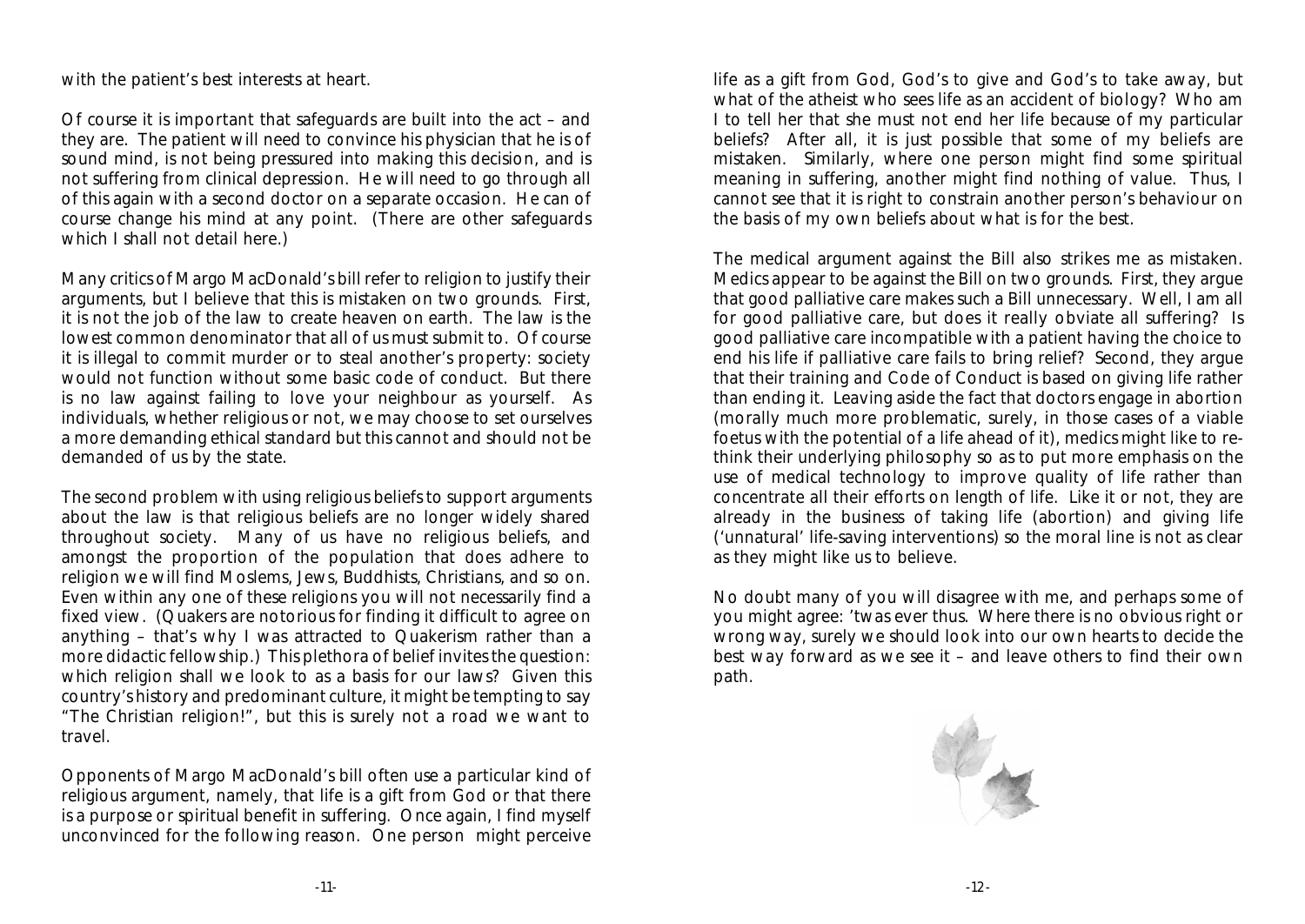with the patient's best interests at heart.

Of course it is important that safeguards are built into the act – and they are. The patient will need to convince his physician that he is of sound mind, is not being pressured into making this decision, and is not suffering from clinical depression. He will need to go through all of this again with a second doctor on a separate occasion. He can of course change his mind at any point. (There are other safeguards which I shall not detail here.)

Many critics of Margo MacDonald's bill refer to religion to justify their arguments, but I believe that this is mistaken on two grounds. First, it is not the job of the law to create heaven on earth. The law is the lowest common denominator that all of us must submit to. Of course it is illegal to commit murder or to steal another's property: society would not function without some basic code of conduct. But there is no law against failing to love your neighbour as yourself. As individuals, whether religious or not, we may choose to set ourselves a more demanding ethical standard but this cannot and should not be demanded of us by the state.

The second problem with using religious beliefs to support arguments about the law is that religious beliefs are no longer widely shared throughout society. Many of us have no religious beliefs, and amongst the proportion of the population that *does* adhere to religion we will find Moslems, Jews, Buddhists, Christians, and so on. Even within any one of these religions you will not necessarily find a fixed view. (Quakers are notorious for finding it difficult to agree on anything – that's why I was attracted to Quakerism rather than a more didactic fellowship.) This plethora of belief invites the question: which religion shall we look to as a basis for our laws? Given this country's history and predominant culture, it might be tempting to say "The Christian religion!", but this is surely not a road we want to travel.

Opponents of Margo MacDonald's bill often use a particular kind of religious argument, namely, that life is a gift from God or that there is a purpose or spiritual benefit in suffering. Once again, I find myself unconvinced for the following reason. One person might perceive

life as a gift from God, God's to give and God's to take away, but what of the atheist who sees life as an accident of biology? Who am I to tell her that she must not end her life because of my particular beliefs? After all, it is just possible that some of my beliefs are mistaken. Similarly, where one person might find some spiritual meaning in suffering, another might find nothing of value. Thus, I cannot see that it is right to constrain another person's behaviour on the basis of my own beliefs about what is for the best.

The medical argument against the Bill also strikes me as mistaken. Medics appear to be against the Bill on two grounds. First, they argue that good palliative care makes such a Bill unnecessary. Well, I am all for good palliative care, but does it really obviate all suffering? Is good palliative care incompatible with a patient having the choice to end his life if palliative care fails to bring relief? Second, they argue that their training and Code of Conduct is based on giving life rather than ending it. Leaving aside the fact that doctors engage in abortion (morally much more problematic, surely, in those cases of a viable foetus with the potential of a life ahead of it), medics might like to rethink their underlying philosophy so as to put more emphasis on the use of medical technology to improve quality of life rather than concentrate all their efforts on length of life. Like it or not, they are already in the business of taking life (abortion) and giving life ('unnatural' life-saving interventions) so the moral line is not as clear as they might like us to believe.

No doubt many of you will disagree with me, and perhaps some of you might agree: 'twas ever thus. Where there is no obvious right or wrong way, surely we should look into our own hearts to decide the best way forward as we see it – and leave others to find their own path.

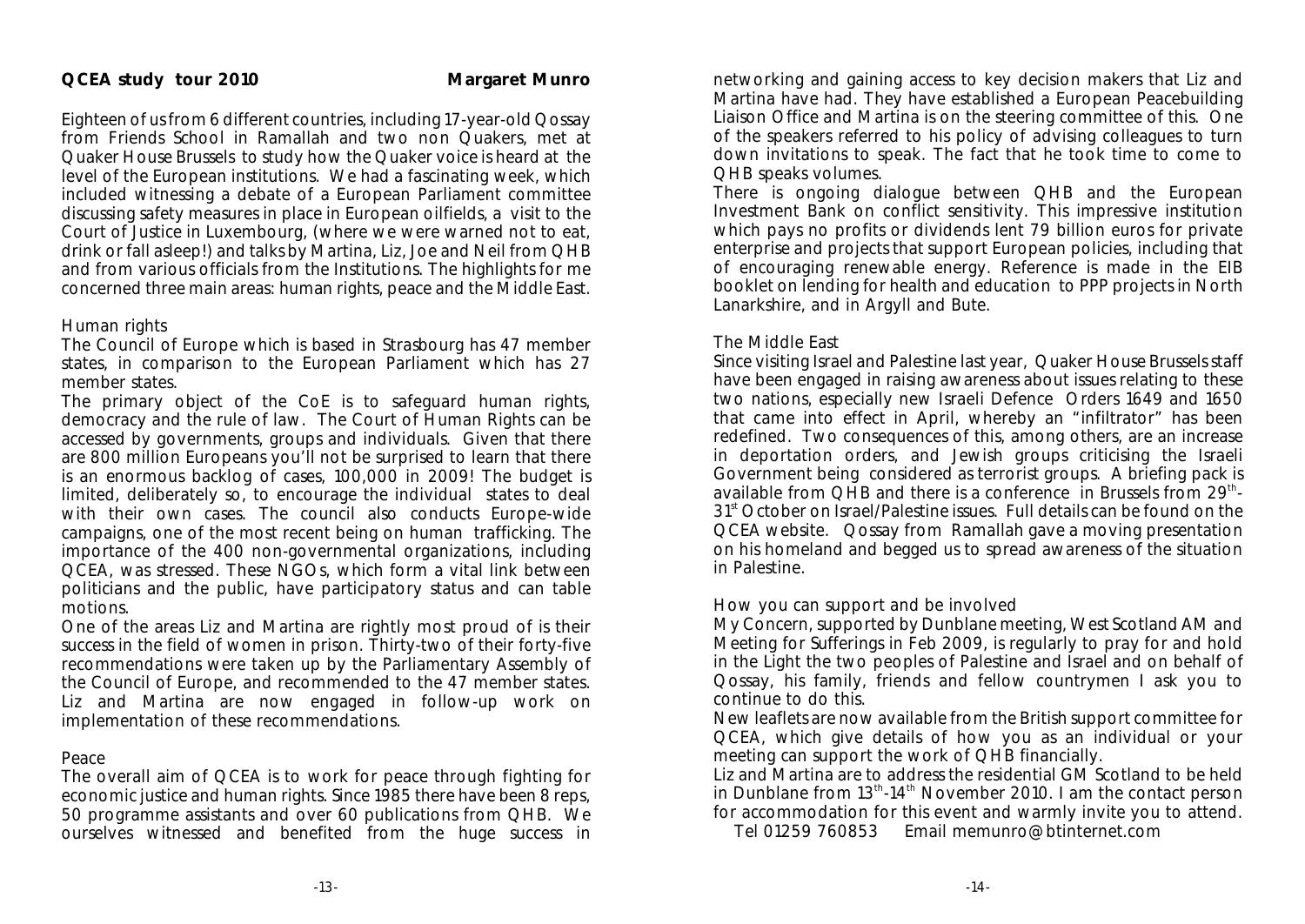Eighteen of us from 6 different countries, including 17-year-old Qossay from Friends School in Ramallah and two non Quakers, met at Quaker House Brussels to study how the Quaker voice is heard at the level of the European institutions. We had a fascinating week, which included witnessing a debate of a European Parliament committee discussing safety measures in place in European oilfields, a visit to the Court of Justice in Luxembourg, (where we were warned not to eat, drink or fall asleep!) and talks by Martina, Liz, Joe and Neil from QHB and from various officials from the Institutions. The highlights for me concerned three main areas: human rights, peace and the Middle East.

#### Human rights

The Council of Europe which is based in Strasbourg has 47 member states, in comparison to the European Parliament which has 27 member states.

The primary object of the CoE is to safeguard human rights, democracy and the rule of law. The Court of Human Rights can be accessed by governments, groups and individuals. Given that there are 800 million Europeans you'll not be surprised to learn that there is an enormous backlog of cases, 100,000 in 2009! The budget is limited, deliberately so, to encourage the individual states to deal with their own cases. The council also conducts Europe-wide campaigns, one of the most recent being on human trafficking. The importance of the 400 non-governmental organizations, including QCEA, was stressed. These NGOs, which form a vital link between politicians and the public, have participatory status and can table motions.

One of the areas Liz and Martina are rightly most proud of is their success in the field of women in prison. Thirty-two of their forty-five recommendations were taken up by the Parliamentary Assembly of the Council of Europe, and recommended to the 47 member states. Liz and Martina are now engaged in follow-up work on implementation of these recommendations.

#### Peace

The overall aim of QCEA is to work for peace through fighting for economic justice and human rights. Since 1985 there have been 8 reps, 50 programme assistants and over 60 publications from QHB. We ourselves witnessed and benefited from the huge success in

networking and gaining access to key decision makers that Liz and Martina have had. They have established a European Peacebuilding Liaison Office and Martina is on the steering committee of this. One of the speakers referred to his policy of advising colleagues to turn down invitations to speak. The fact that he took time to come to QHB speaks volumes.

There is ongoing dialogue between QHB and the European Investment Bank on conflict sensitivity. This impressive institution which pays no profits or dividends lent 79 billion euros for private enterprise and projects that support European policies, including that of encouraging renewable energy. Reference is made in the EIB booklet on lending for health and education to PPP projects in North Lanarkshire, and in Argyll and Bute.

#### The Middle East

Since visiting Israel and Palestine last year, Quaker House Brussels staff have been engaged in raising awareness about issues relating to these two nations, especially new Israeli Defence Orders 1649 and 1650 that came into effect in April, whereby an "infiltrator" has been redefined. Two consequences of this, among others, are an increase in deportation orders, and Jewish groups criticising the Israeli Government being considered as terrorist groups. A briefing pack is available from QHB and there is a conference in Brussels from 29<sup>th</sup>-31<sup>st</sup> October on Israel/Palestine issues. Full details can be found on the QCEA website. Qossay from Ramallah gave a moving presentation on his homeland and begged us to spread awareness of the situation in Palestine.

#### How you can support and be involved

My Concern, supported by Dunblane meeting, West Scotland AM and Meeting for Sufferings in Feb 2009, is regularly to pray for and hold in the Light the two peoples of Palestine and Israel and on behalf of Qossay, his family, friends and fellow countrymen I ask you to continue to do this.

New leaflets are now available from the British support committee for QCEA, which give details of how you as an individual or your meeting can support the work of QHB financially.

Liz and Martina are to address the residential GM Scotland to be held in Dunblane from  $13<sup>th</sup>·14<sup>th</sup>$  November 2010. I am the contact person for accommodation for this event and warmly invite you to attend.

Tel 01259 760853 Email memunro@btinternet.com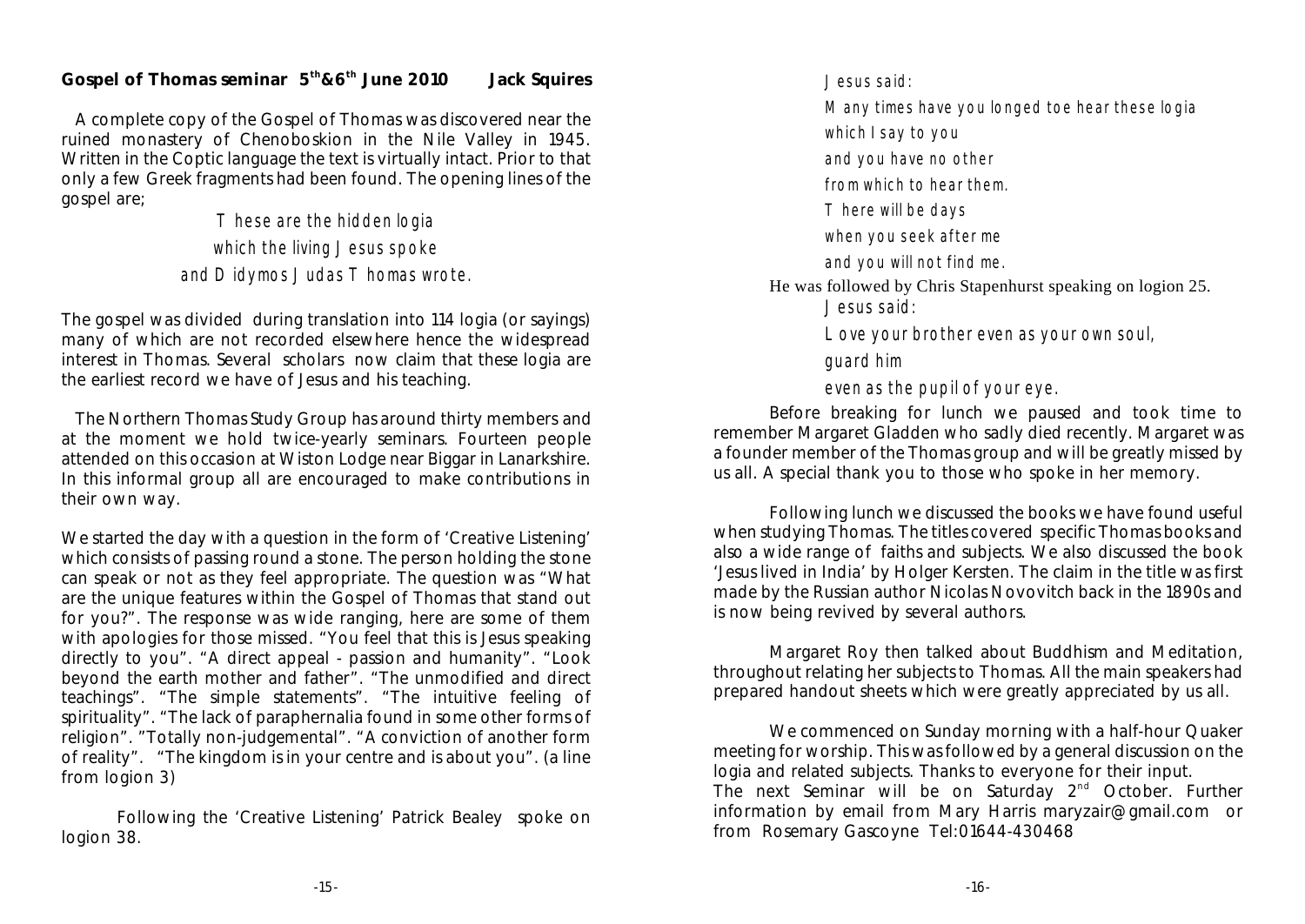Gospel of Thomas seminar  $5<sup>th</sup> & 6<sup>th</sup>$  June 2010 Jack Squires

A complete copy of the Gospel of Thomas was discovered near the ruined monastery of Chenoboskion in the Nile Valley in 1945. Written in the Coptic language the text is virtually intact. Prior to that only a few Greek fragments had been found. The opening lines of the gospel are;

> These are the hidden logia which the living Jesus spoke and Didymos Judas Thomas wrote.

The gospel was divided during translation into 114 logia (or sayings) many of which are not recorded elsewhere hence the widespread interest in Thomas. Several scholars now claim that these logia are the earliest record we have of Jesus and his teaching.

The Northern Thomas Study Group has around thirty members and at the moment we hold twice-yearly seminars. Fourteen people attended on this occasion at Wiston Lodge near Biggar in Lanarkshire. In this informal group all are encouraged to make contributions in their own way.

We started the day with a question in the form of 'Creative Listening' which consists of passing round a stone. The person holding the stone can speak or not as they feel appropriate. The question was "What are the unique features within the Gospel of Thomas that stand out for you?". The response was wide ranging, here are some of them with apologies for those missed. "You feel that this is Jesus speaking directly to you". "A direct appeal - passion and humanity". "Look beyond the earth mother and father". "The unmodified and direct teachings". "The simple statements". "The intuitive feeling of spirituality". "The lack of paraphernalia found in some other forms of religion". "Totally non-judgemental". "A conviction of another form of reality". "The kingdom is in your centre and is about you". (a line from logion 3)

Following the 'Creative Listening' Patrick Bealey spoke on logion 38.

Jesus said: Many times have you longed toe hear these logia which I say to you and you have no other from which to hear them. There will be days when you seek after me and you will not find me. He was followed by Chris Stapenhurst speaking on logion 25. Jesus said: Love your brother even as your own soul, guard him even as the pupil of your eye.

Before breaking for lunch we paused and took time to remember Margaret Gladden who sadly died recently. Margaret was a founder member of the Thomas group and will be greatly missed by us all. A special thank you to those who spoke in her memory.

Following lunch we discussed the books we have found useful when studying Thomas. The titles covered specific Thomas books and also a wide range of faiths and subjects. We also discussed the book 'Jesus lived in India' by Holger Kersten. The claim in the title was first made by the Russian author Nicolas Novovitch back in the 1890s and is now being revived by several authors.

Margaret Roy then talked about Buddhism and Meditation, throughout relating her subjects to Thomas. All the main speakers had prepared handout sheets which were greatly appreciated by us all.

We commenced on Sunday morning with a half-hour Quaker meeting for worship. This was followed by a general discussion on the logia and related subjects. Thanks to everyone for their input. The next Seminar will be on Saturday  $2<sup>nd</sup>$  October. Further information by email from Mary Harris maryzair@gmail.com or from Rosemary Gascoyne Tel:01644-430468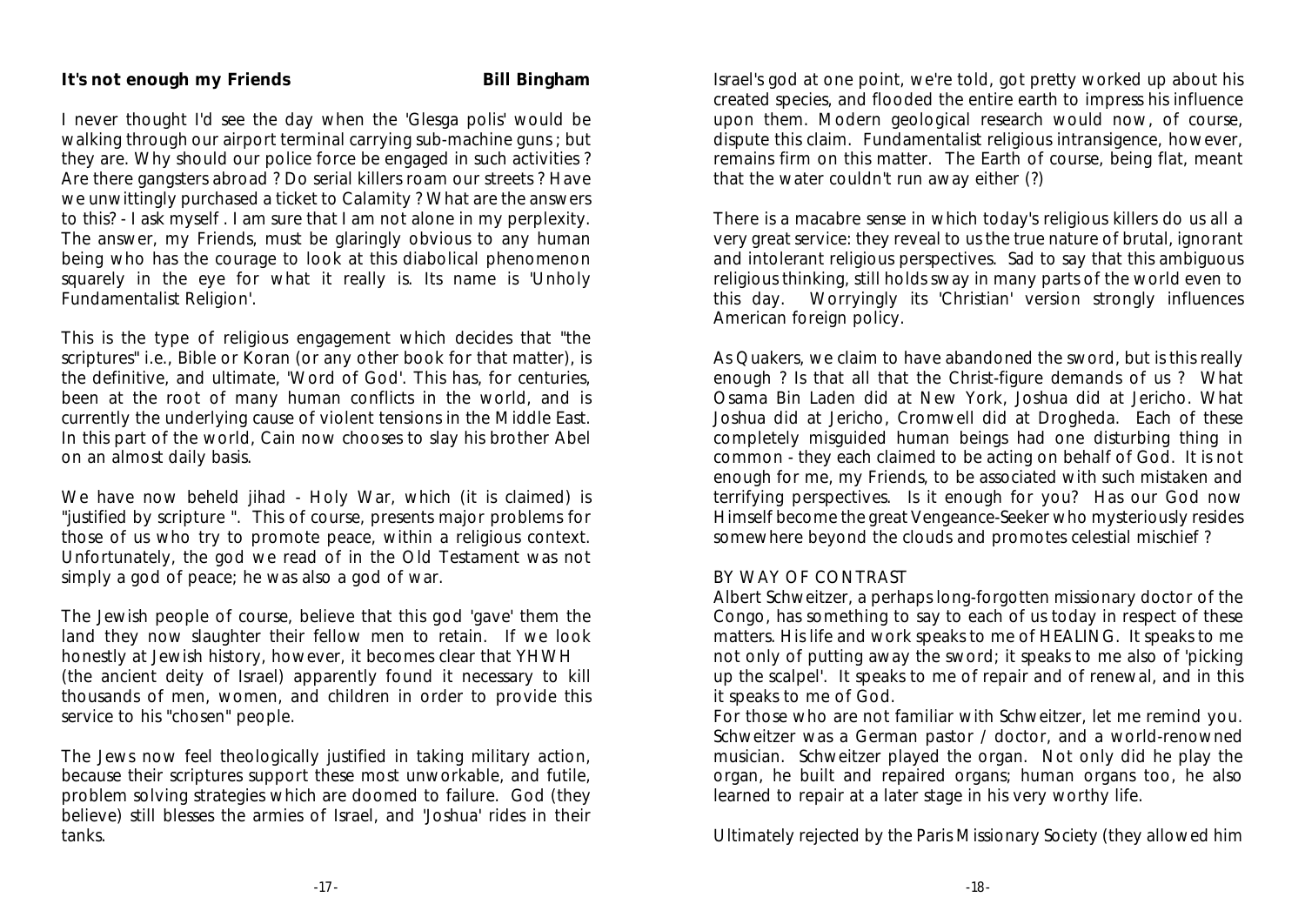I never thought I'd see the day when the 'Glesga polis' would be walking through our airport terminal carrying sub-machine guns ; but they are. Why should our police force be engaged in such activities ? Are there gangsters abroad ? Do serial killers roam our streets ? Have we unwittingly purchased a ticket to Calamity ? What are the answers to this? - I ask myself . I am sure that I am not alone in my perplexity. The answer, my Friends, must be glaringly obvious to any human being who has the courage to look at this diabolical phenomenon squarely in the eye for what it really is. Its name is 'Unholy Fundamentalist Religion'.

This is the type of religious engagement which decides that "the scriptures" i.e., Bible or Koran (or any other book for that matter), is the definitive, and ultimate, 'Word of God'. This has, for centuries, been at the root of many human conflicts in the world, and is currently the underlying cause of violent tensions in the Middle East. In this part of the world, Cain now chooses to slay his brother Abel on an almost daily basis.

We have now beheld jihad - Holy War, which (it is claimed) is "justified by scripture ". This of course, presents major problems for those of us who try to promote peace, within a religious context. Unfortunately, the god we read of in the Old Testament was not simply a god of peace; he was also a god of war.

The Jewish people of course, believe that this god 'gave' them the land they now slaughter their fellow men to retain. If we look honestly at Jewish history, however, it becomes clear that YHWH (the ancient deity of Israel) apparently found it necessary to kill thousands of men, women, and children in order to provide this service to his "chosen" people.

The Jews now feel theologically justified in taking military action, because their scriptures support these most unworkable, and futile, problem solving strategies which are doomed to failure. God (they believe) still blesses the armies of Israel, and 'Joshua' rides in their tanks.

Israel's god at one point, we're told, got pretty worked up about his created species, and flooded the entire earth to impress his influence upon them. Modern geological research would now, of course, dispute this claim. Fundamentalist religious intransigence, however, remains firm on this matter. The Earth of course, being flat, meant that the water couldn't run away either (?)

There is a macabre sense in which today's religious killers do us all a very great service: they reveal to us the true nature of brutal, ignorant and intolerant religious perspectives. Sad to say that this ambiguous religious thinking, still holds sway in many parts of the world even to this day. Worryingly its 'Christian' version strongly influences American foreign policy.

As Quakers, we claim to have abandoned the sword, but is this really enough ? Is that all that the Christ-figure demands of us ? What Osama Bin Laden did at New York, Joshua did at Jericho. What Joshua did at Jericho, Cromwell did at Drogheda. Each of these completely misguided human beings had one disturbing thing in common - they each claimed to be acting on behalf of God. It is not enough for me, my Friends, to be associated with such mistaken and terrifying perspectives. Is it enough for you? Has our God now Himself become the great Vengeance-Seeker who mysteriously resides somewhere beyond the clouds and promotes celestial mischief ?

#### BY WAY OF CONTRAST

Albert Schweitzer, a perhaps long-forgotten missionary doctor of the Congo, has something to say to each of us today in respect of these matters. His life and work speaks to me of HEALING. It speaks to me not only of putting away the sword; it speaks to me also of 'picking up the scalpel'. It speaks to me of repair and of renewal, and in this it speaks to me of God.

For those who are not familiar with Schweitzer, let me remind you. Schweitzer was a German pastor / doctor, and a world-renowned musician. Schweitzer played the organ. Not only did he play the organ, he built and repaired organs; human organs too, he also learned to repair at a later stage in his very worthy life.

Ultimately rejected by the Paris Missionary Society (they allowed him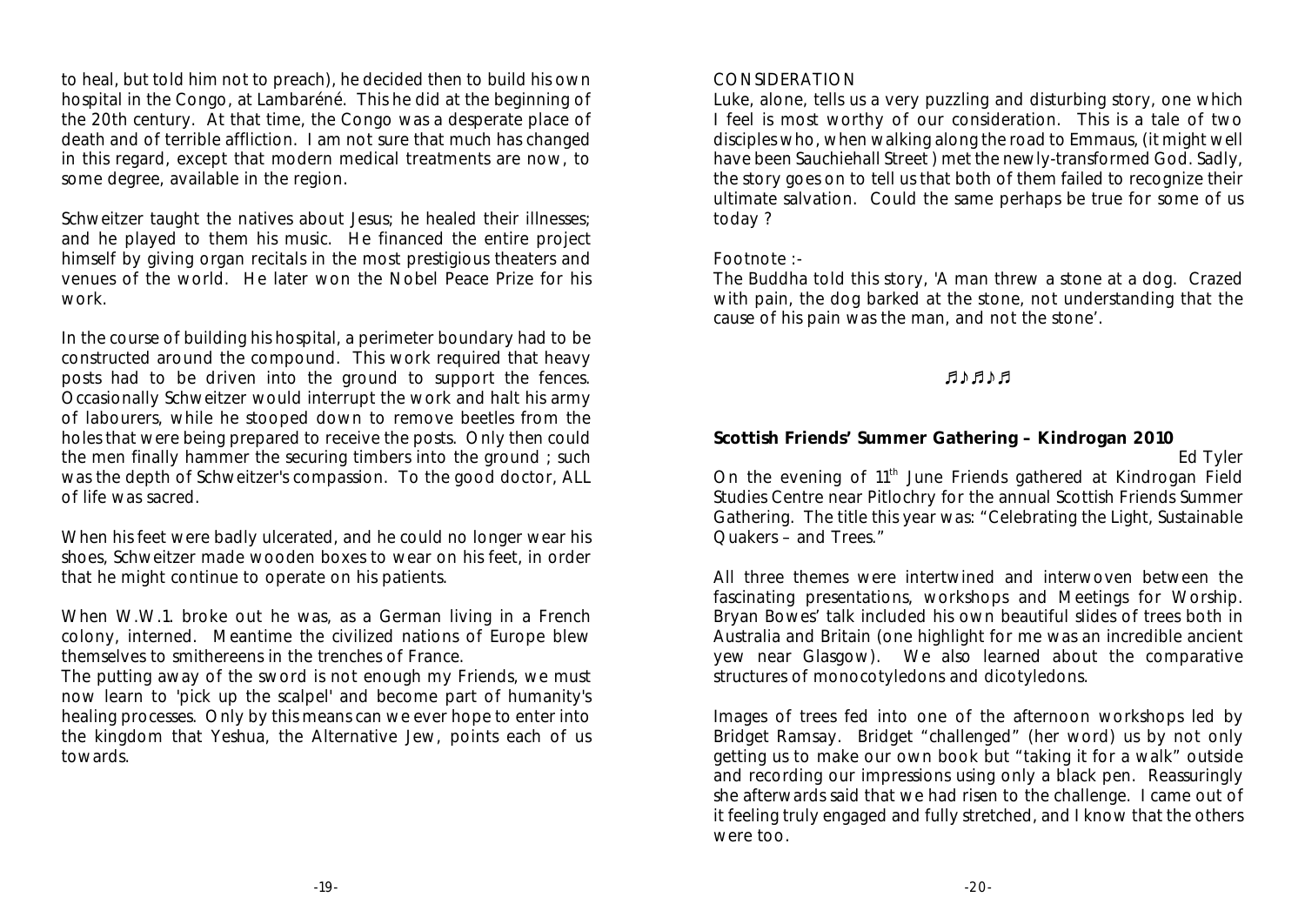to heal, but told him not to preach), he decided then to build his own hospital in the Congo, at Lambaréné. This he did at the beginning of the 20th century. At that time, the Congo was a desperate place of death and of terrible affliction. I am not sure that much has changed in this regard, except that modern medical treatments are now, to some degree, available in the region.

Schweitzer taught the natives about Jesus; he healed their illnesses; and he played to them his music. He financed the entire project himself by giving organ recitals in the most prestigious theaters and venues of the world. He later won the Nobel Peace Prize for his work.

In the course of building his hospital, a perimeter boundary had to be constructed around the compound. This work required that heavy posts had to be driven into the ground to support the fences. Occasionally Schweitzer would interrupt the work and halt his army of labourers, while he stooped down to remove beetles from the holes that were being prepared to receive the posts. Only then could the men finally hammer the securing timbers into the ground ; such was the depth of Schweitzer's compassion. To the good doctor, ALL of life was sacred.

When his feet were badly ulcerated, and he could no longer wear his shoes, Schweitzer made wooden boxes to wear on his feet, in order that he might continue to operate on his patients.

When W.W.1. broke out he was, as a German living in a French colony, interned. Meantime the civilized nations of Europe blew themselves to smithereens in the trenches of France.

The putting away of the sword is not enough my Friends, we must now learn to 'pick up the scalpel' and become part of humanity's healing processes. Only by this means can we ever hope to enter into the kingdom that Yeshua, the Alternative Jew, points each of us towards.

#### CONSIDERATION

Luke, alone, tells us a very puzzling and disturbing story, one which I feel is most worthy of our consideration. This is a tale of two disciples who, when walking along the road to Emmaus, (it might well have been Sauchiehall Street ) met the newly-transformed God. Sadly, the story goes on to tell us that both of them failed to recognize their ultimate salvation. Could the same perhaps be true for some of us today ?

#### Footnote :-

The Buddha told this story, 'A man threw a stone at a dog. Crazed with pain, the dog barked at the stone, not understanding that the cause of his pain was the man, and not the stone'.

#### +\*+\*+

**Scottish Friends' Summer Gathering – Kindrogan 2010**

Ed Tyler

On the evening of 11<sup>th</sup> June Friends gathered at Kindrogan Field Studies Centre near Pitlochry for the annual Scottish Friends Summer Gathering. The title this year was: "Celebrating the Light, Sustainable Quakers – and Trees."

All three themes were intertwined and interwoven between the fascinating presentations, workshops and Meetings for Worship. Bryan Bowes' talk included his own beautiful slides of trees both in Australia and Britain (one highlight for me was an incredible ancient yew near Glasgow). We also learned about the comparative structures of monocotyledons and dicotyledons.

Images of trees fed into one of the afternoon workshops led by Bridget Ramsay. Bridget "challenged" (her word) us by not only getting us to make our own book but "taking it for a walk" outside and recording our impressions using only a black pen. Reassuringly she afterwards said that we had risen to the challenge. I came out of it feeling truly engaged and fully stretched, and I know that the others were too.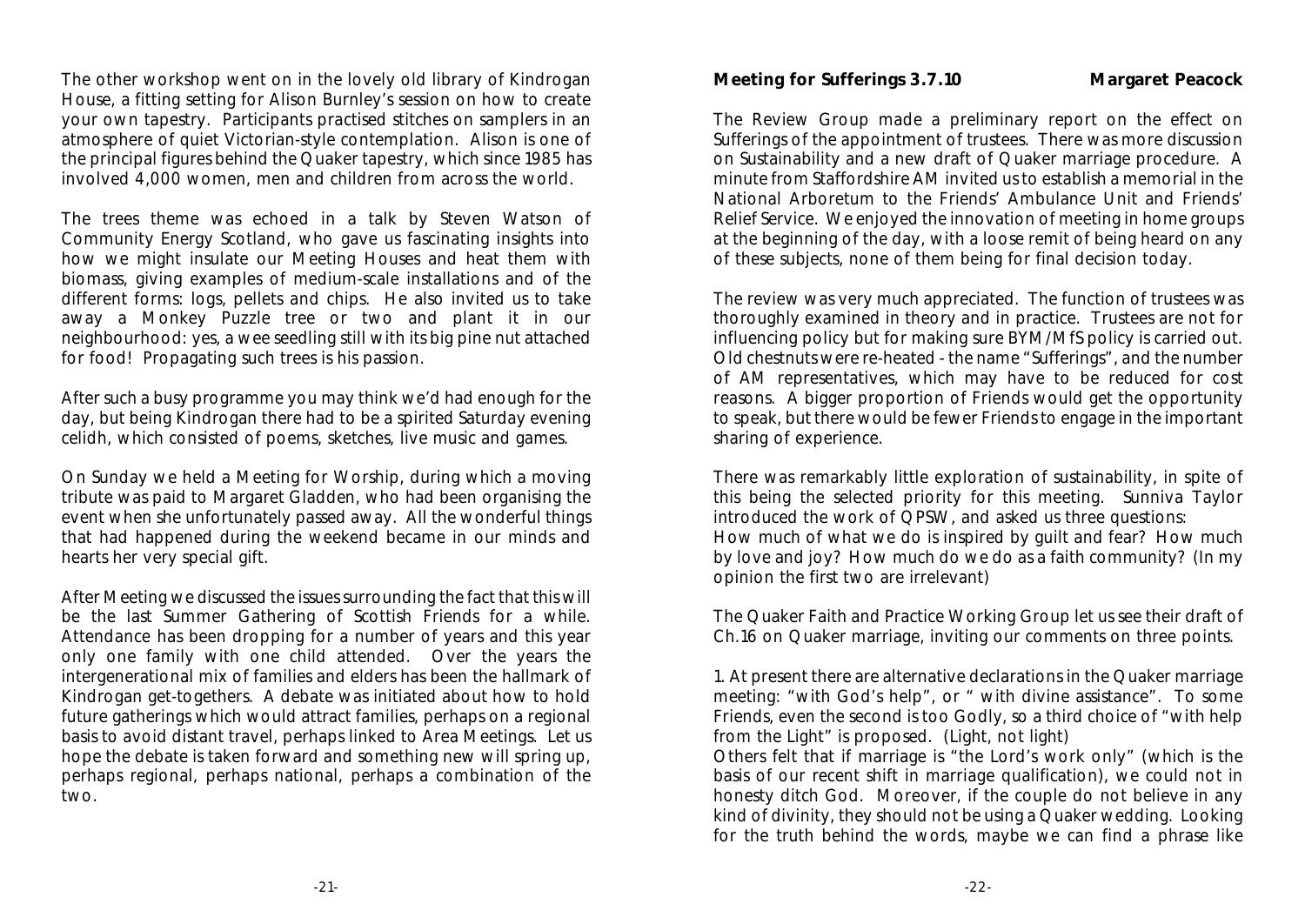The other workshop went on in the lovely old library of Kindrogan House, a fitting setting for Alison Burnley's session on how to create your own tapestry. Participants practised stitches on samplers in an atmosphere of quiet Victorian-style contemplation. Alison is one of the principal figures behind the Quaker tapestry, which since 1985 has involved 4,000 women, men and children from across the world.

The trees theme was echoed in a talk by Steven Watson of Community Energy Scotland, who gave us fascinating insights into how we might insulate our Meeting Houses and heat them with biomass, giving examples of medium-scale installations and of the different forms: logs, pellets and chips. He also invited us to take away a Monkey Puzzle tree or two and plant it in our neighbourhood: yes, a wee seedling still with its big pine nut attached for food! Propagating such trees is his passion.

After such a busy programme you may think we'd had enough for the day, but being Kindrogan there had to be a spirited Saturday evening celidh, which consisted of poems, sketches, live music and games.

On Sunday we held a Meeting for Worship, during which a moving tribute was paid to Margaret Gladden, who had been organising the event when she unfortunately passed away. All the wonderful things that had happened during the weekend became in our minds and hearts her very special gift.

After Meeting we discussed the issues surrounding the fact that this will be the last Summer Gathering of Scottish Friends for a while. Attendance has been dropping for a number of years and this year only one family with one child attended. Over the years the intergenerational mix of families and elders has been the hallmark of Kindrogan get-togethers. A debate was initiated about how to hold future gatherings which would attract families, perhaps on a regional basis to avoid distant travel, perhaps linked to Area Meetings. Let us hope the debate is taken forward and something new will spring up, perhaps regional, perhaps national, perhaps a combination of the two.

**Meeting for Sufferings 3.7.10 Margaret Peacock**

The Review Group made a preliminary report on the effect on Sufferings of the appointment of trustees. There was more discussion on Sustainability and a new draft of Quaker marriage procedure. A minute from Staffordshire AM invited us to establish a memorial in the National Arboretum to the Friends' Ambulance Unit and Friends' Relief Service. We enjoyed the innovation of meeting in home groups at the beginning of the day, with a loose remit of being heard on any of these subjects, none of them being for final decision today.

The review was very much appreciated. The function of trustees was thoroughly examined in theory and in practice. Trustees are not for influencing policy but for making sure BYM/MfS policy is carried out. Old chestnuts were re-heated - the name "Sufferings", and the number of AM representatives, which may have to be reduced for cost reasons. A bigger proportion of Friends would get the opportunity to speak, but there would be fewer Friends to engage in the important sharing of experience.

There was remarkably little exploration of sustainability, in spite of this being the selected priority for this meeting. Sunniva Taylor introduced the work of QPSW, and asked us three questions: How much of what we do is inspired by guilt and fear? How much by love and joy? How much do we do as a faith community? (In my opinion the first two are irrelevant)

The Quaker Faith and Practice Working Group let us see their draft of Ch.16 on Quaker marriage, inviting our comments on three points.

1. At present there are alternative declarations in the Quaker marriage meeting: "with God's help", or " with divine assistance". To some Friends, even the second is too Godly, so a third choice of "with help from the Light" is proposed. (Light, not light)

Others felt that if marriage is "the Lord's work only" (which is the basis of our recent shift in marriage qualification), we could not in honesty ditch God. Moreover, if the couple do not believe in any kind of divinity, they should not be using a Quaker wedding. Looking for the truth behind the words, maybe we can find a phrase like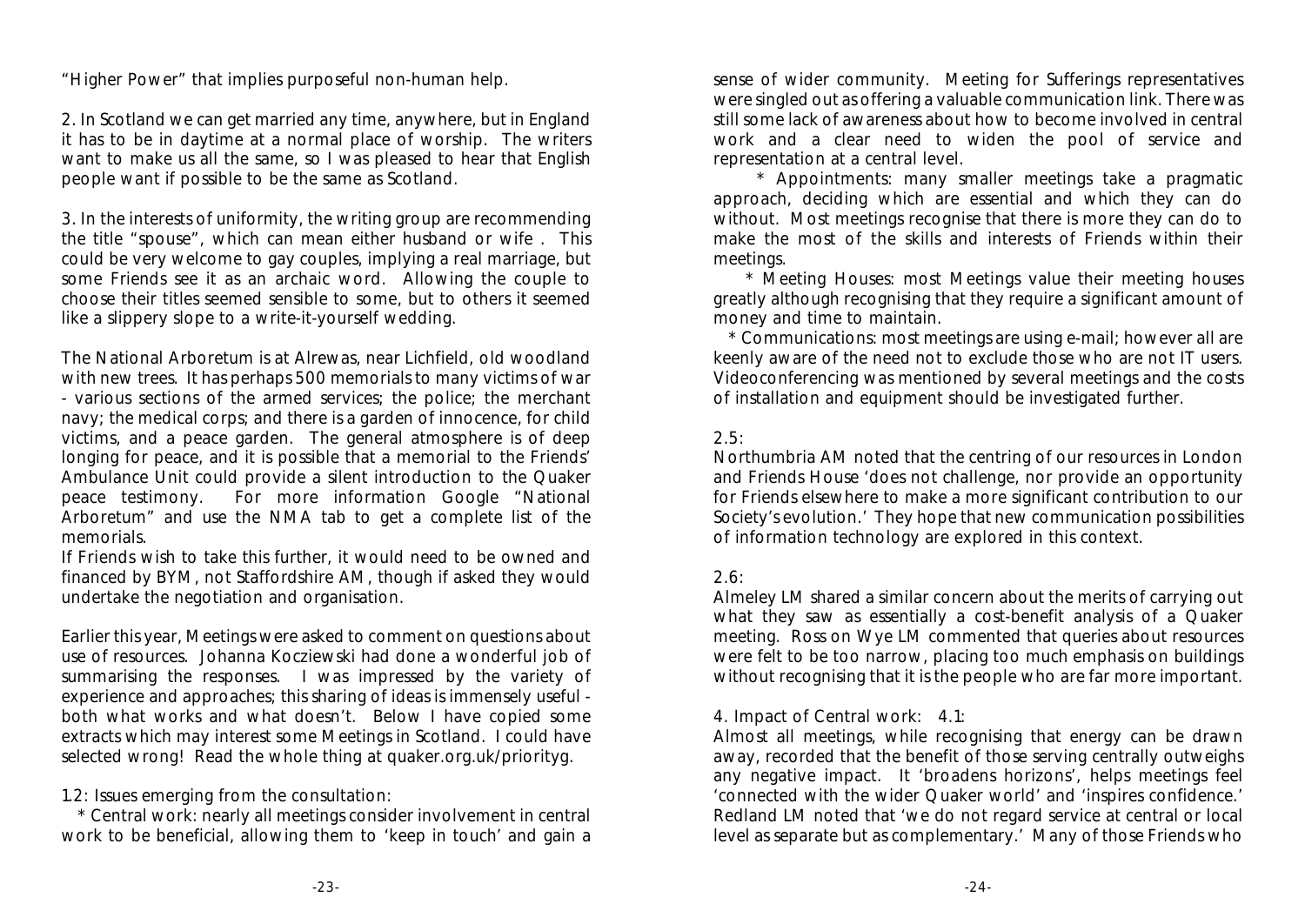"Higher Power" that implies purposeful non-human help.

2. In Scotland we can get married any time, anywhere, but in England it has to be in daytime at a normal place of worship. The writers want to make us all the same, so I was pleased to hear that English people want if possible to be the same as Scotland.

3. In the interests of uniformity, the writing group are recommending the title "spouse", which can mean either husband or wife . This could be very welcome to gay couples, implying a real marriage, but some Friends see it as an archaic word. Allowing the couple to choose their titles seemed sensible to some, but to others it seemed like a slippery slope to a write-it-yourself wedding.

The National Arboretum is at Alrewas, near Lichfield, old woodland with new trees. It has perhaps 500 memorials to many victims of war - various sections of the armed services; the police; the merchant navy; the medical corps; and there is a garden of innocence, for child victims, and a peace garden. The general atmosphere is of deep longing for peace, and it is possible that a memorial to the Friends' Ambulance Unit could provide a silent introduction to the Quaker peace testimony. For more information Google "National Arboretum" and use the NMA tab to get a complete list of the memorials.

If Friends wish to take this further, it would need to be owned and financed by BYM, not Staffordshire AM, though if asked they would undertake the negotiation and organisation.

Earlier this year, Meetings were asked to comment on questions about use of resources. Johanna Kocziewski had done a wonderful job of summarising the responses. I was impressed by the variety of experience and approaches; this sharing of ideas is immensely useful both what works and what doesn't. Below I have copied some extracts which may interest some Meetings in Scotland. I could have selected wrong! Read the whole thing at quaker.org.uk/priorityg.

1.2: Issues emerging from the consultation:

 \* Central work: nearly all meetings consider involvement in central work to be beneficial, allowing them to 'keep in touch' and gain a sense of wider community. Meeting for Sufferings representatives were singled out as offering a valuable communication link. There was still some lack of awareness about how to become involved in central work and a clear need to widen the pool of service and representation at a central level.

 \* Appointments: many smaller meetings take a pragmatic approach, deciding which are essential and which they can do without. Most meetings recognise that there is more they can do to make the most of the skills and interests of Friends within their meetings.

 \* Meeting Houses: most Meetings value their meeting houses greatly although recognising that they require a significant amount of money and time to maintain.

 \* Communications: most meetings are using e-mail; however all are keenly aware of the need not to exclude those who are not IT users. Videoconferencing was mentioned by several meetings and the costs of installation and equipment should be investigated further.

#### $2.5$

Northumbria AM noted that the centring of our resources in London and Friends House 'does not challenge, nor provide an opportunity for Friends elsewhere to make a more significant contribution to our Society's evolution.' They hope that new communication possibilities of information technology are explored in this context.

#### 2.6:

Almeley LM shared a similar concern about the merits of carrying out what they saw as essentially a cost-benefit analysis of a Quaker meeting. Ross on Wye LM commented that queries about resources were felt to be too narrow, placing too much emphasis on buildings without recognising that it is the people who are far more important.

#### 4. Impact of Central work: 4.1:

Almost all meetings, while recognising that energy can be drawn away, recorded that the benefit of those serving centrally outweighs any negative impact. It 'broadens horizons', helps meetings feel 'connected with the wider Quaker world' and 'inspires confidence.' Redland LM noted that 'we do not regard service at central or local level as separate but as complementary.' Many of those Friends who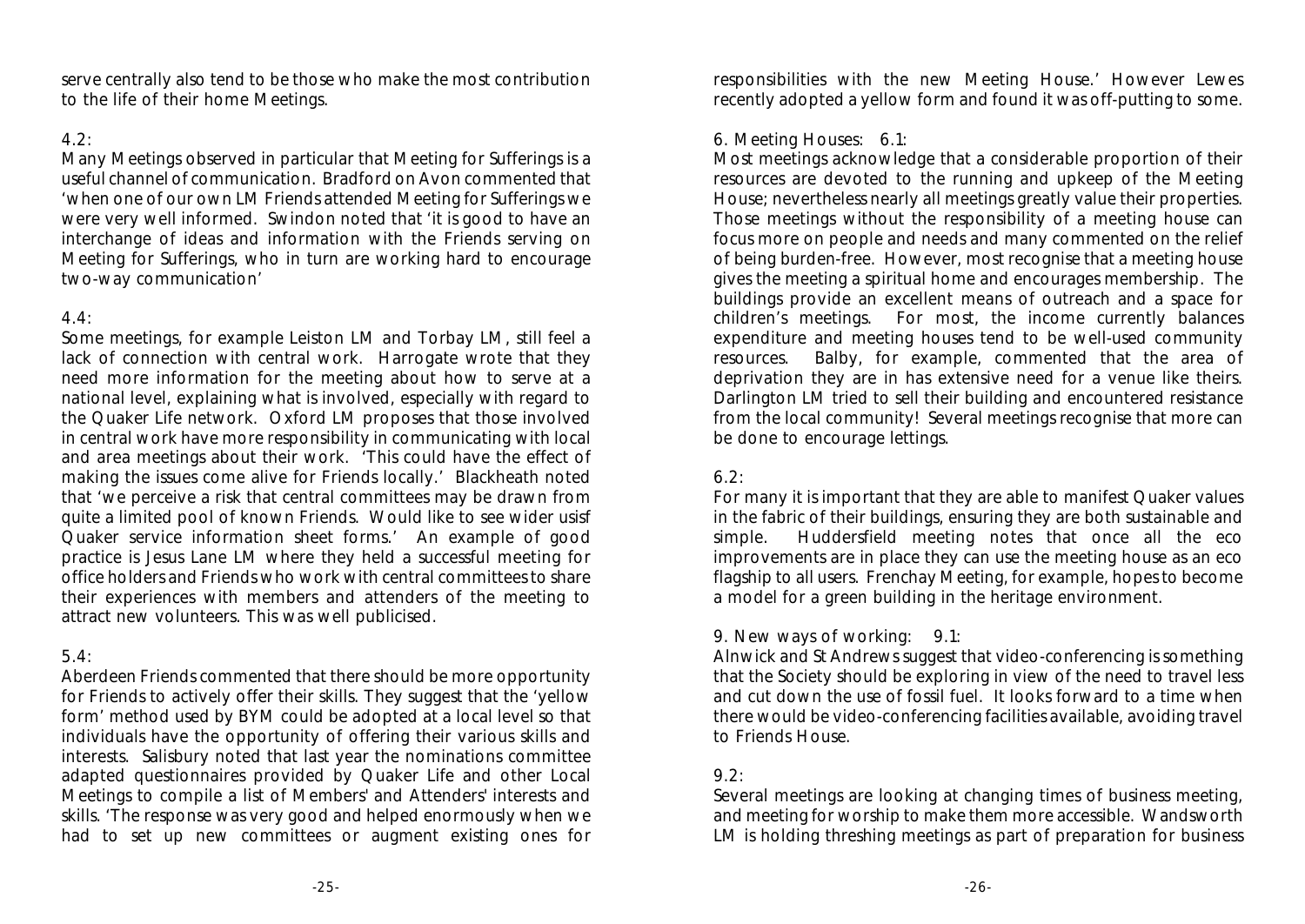serve centrally also tend to be those who make the most contribution to the life of their home Meetings.

#### $4.2 \cdot$

Many Meetings observed in particular that Meeting for Sufferings is a useful channel of communication. Bradford on Avon commented that 'when one of our own LM Friends attended Meeting for Sufferings we were very well informed. Swindon noted that 'it is good to have an interchange of ideas and information with the Friends serving on Meeting for Sufferings, who in turn are working hard to encourage two-way communication'

#### $4.4 \cdot$

Some meetings, for example Leiston LM and Torbay LM, still feel a lack of connection with central work. Harrogate wrote that they need more information for the meeting about how to serve at a national level, explaining what is involved, especially with regard to the Quaker Life network. Oxford LM proposes that those involved in central work have more responsibility in communicating with local and area meetings about their work. 'This could have the effect of making the issues come alive for Friends locally.' Blackheath noted that 'we perceive a risk that central committees may be drawn from quite a limited pool of known Friends. Would like to see wider usisf Quaker service information sheet forms.' An example of good practice is Jesus Lane LM where they held a successful meeting for office holders and Friends who work with central committees to share their experiences with members and attenders of the meeting to attract new volunteers. This was well publicised.

#### $5.4$

Aberdeen Friends commented that there should be more opportunity for Friends to actively offer their skills. They suggest that the 'yellow form' method used by BYM could be adopted at a local level so that individuals have the opportunity of offering their various skills and interests. Salisbury noted that last year the nominations committee adapted questionnaires provided by Quaker Life and other Local Meetings to compile a list of Members' and Attenders' interests and skills. 'The response was very good and helped enormously when we had to set up new committees or augment existing ones for

responsibilities with the new Meeting House.' However Lewes recently adopted a yellow form and found it was off-putting to some.

#### 6. Meeting Houses: 6.1:

Most meetings acknowledge that a considerable proportion of their resources are devoted to the running and upkeep of the Meeting House; nevertheless nearly all meetings greatly value their properties. Those meetings without the responsibility of a meeting house can focus more on people and needs and many commented on the relief of being burden-free. However, most recognise that a meeting house gives the meeting a spiritual home and encourages membership. The buildings provide an excellent means of outreach and a space for children's meetings. For most, the income currently balances expenditure and meeting houses tend to be well-used community resources. Balby, for example, commented that the area of deprivation they are in has extensive need for a venue like theirs. Darlington LM tried to sell their building and encountered resistance from the local community! Several meetings recognise that more can be done to encourage lettings.

#### 6.2:

For many it is important that they are able to manifest Quaker values in the fabric of their buildings, ensuring they are both sustainable and simple. Huddersfield meeting notes that once all the eco improvements are in place they can use the meeting house as an eco flagship to all users. Frenchay Meeting, for example, hopes to become a model for a green building in the heritage environment.

#### 9. New ways of working: 9.1:

Alnwick and St Andrews suggest that video-conferencing is something that the Society should be exploring in view of the need to travel less and cut down the use of fossil fuel. It looks forward to a time when there would be video-conferencing facilities available, avoiding travel to Friends House.

#### $9.2$

Several meetings are looking at changing times of business meeting, and meeting for worship to make them more accessible. Wandsworth LM is holding threshing meetings as part of preparation for business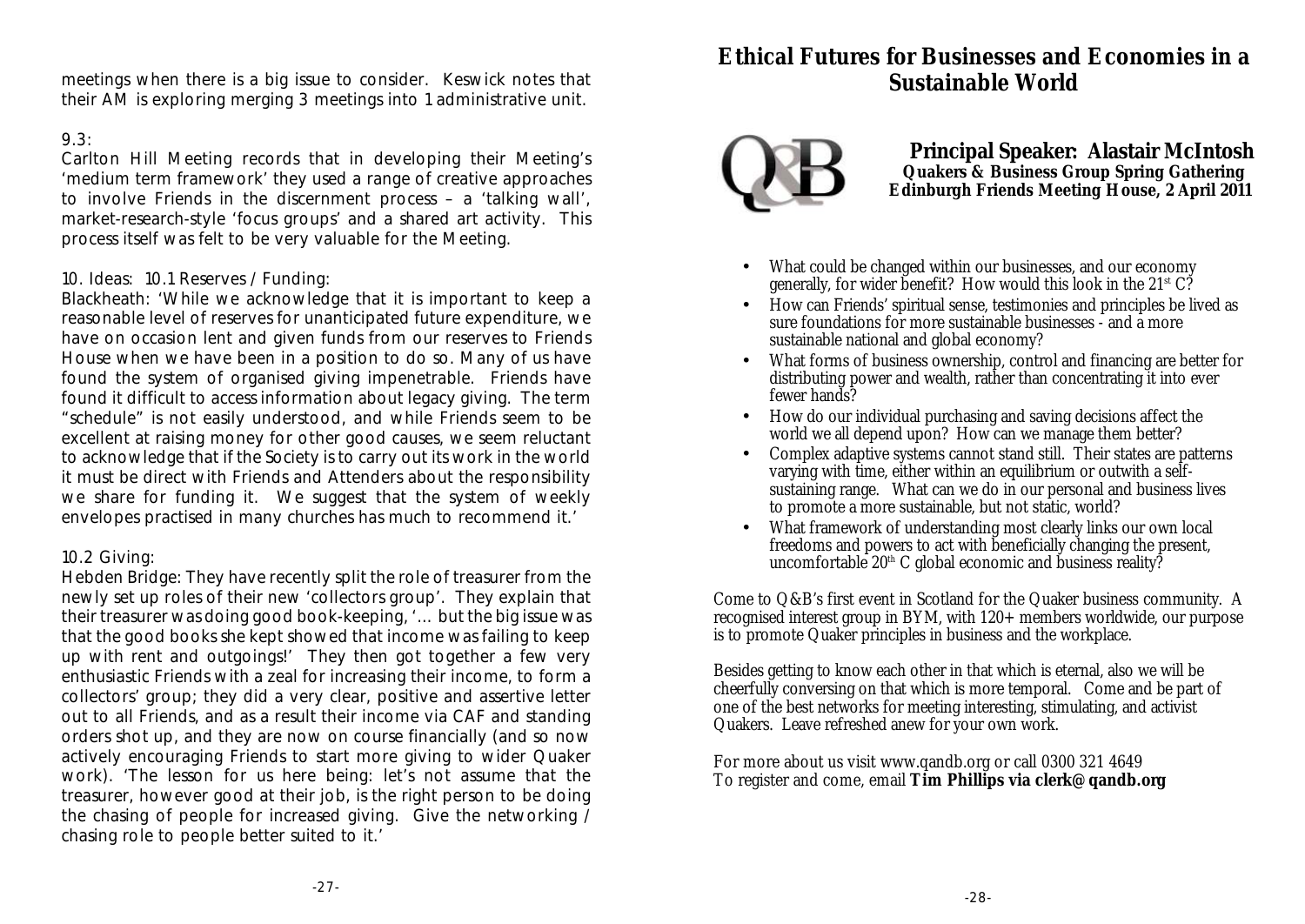meetings when there is a big issue to consider. Keswick notes that their AM is exploring merging 3 meetings into 1 administrative unit.

#### 9.3:

Carlton Hill Meeting records that in developing their Meeting's 'medium term framework' they used a range of creative approaches to involve Friends in the discernment process – a 'talking wall', market-research-style 'focus groups' and a shared art activity. This process itself was felt to be very valuable for the Meeting.

#### 10. Ideas: 10.1 Reserves / Funding:

Blackheath: 'While we acknowledge that it is important to keep a reasonable level of reserves for unanticipated future expenditure, we have on occasion lent and given funds from our reserves to Friends House when we have been in a position to do so. Many of us have found the system of organised giving impenetrable. Friends have found it difficult to access information about legacy giving. The term "schedule" is not easily understood, and while Friends seem to be excellent at raising money for other good causes, we seem reluctant to acknowledge that if the Society is to carry out its work in the world it must be direct with Friends and Attenders about the responsibility we share for funding it. We suggest that the system of weekly envelopes practised in many churches has much to recommend it.'

#### 10.2 Giving:

Hebden Bridge: They have recently split the role of treasurer from the newly set up roles of their new 'collectors group'. They explain that their treasurer was doing good book-keeping, '… but the big issue was that the good books she kept showed that income was failing to keep up with rent and outgoings!' They then got together a few very enthusiastic Friends with a zeal for increasing their income, to form a collectors' group; they did a very clear, positive and assertive letter out to all Friends, and as a result their income via CAF and standing orders shot up, and they are now on course financially (and so now actively encouraging Friends to start more giving to wider Quaker work). 'The lesson for us here being: let's not assume that the treasurer, however good at their job, is the right person to be doing the chasing of people for increased giving. Give the networking / chasing role to people better suited to it.'

### **Ethical Futures for Businesses and Economies in a Sustainable World**



**Principal Speaker: Alastair McIntosh Quakers & Business Group Spring Gathering Edinburgh Friends Meeting House, 2 April 2011** 

- What could be changed within our businesses, and our economy generally, for wider benefit? How would this look in the  $21<sup>st</sup>$  C?
- How can Friends' spiritual sense, testimonies and principles be lived as sure foundations for more sustainable businesses - and a more sustainable national and global economy?
- What forms of business ownership, control and financing are better for distributing power and wealth, rather than concentrating it into ever fewer hands?
- How do our individual purchasing and saving decisions affect the world we all depend upon? How can we manage them better?
- Complex adaptive systems cannot stand still. Their states are patterns varying with time, either within an equilibrium or outwith a selfsustaining range. What can we do in our personal and business lives to promote a more sustainable, but not static, world?
- What framework of understanding most clearly links our own local freedoms and powers to act with beneficially changing the present, uncomfortable  $20<sup>th</sup>$  C global economic and business reality?

Come to Q&B's first event in Scotland for the Quaker business community. A recognised interest group in BYM, with 120+ members worldwide, our purpose is to promote Quaker principles in business and the workplace.

Besides getting to know each other in that which is eternal, also we will be cheerfully conversing on that which is more temporal. Come and be part of one of the best networks for meeting interesting, stimulating, and activist Quakers. Leave refreshed anew for your own work.

For more about us visit www.qandb.org or call 0300 321 4649 To register and come, email **Tim Phillips via clerk@qandb.org**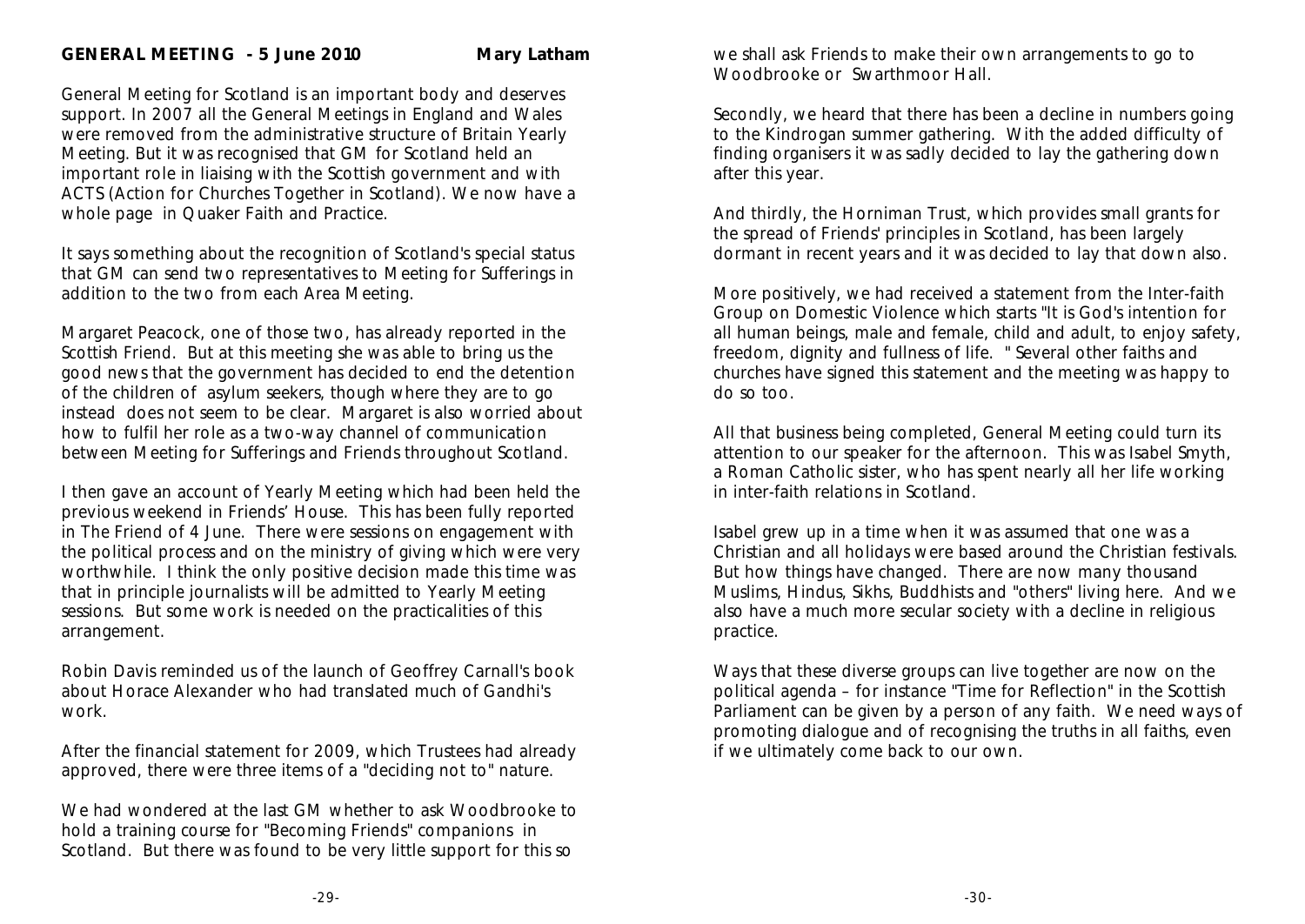General Meeting for Scotland is an important body and deserves support. In 2007 all the General Meetings in England and Wales were removed from the administrative structure of Britain Yearly Meeting. But it was recognised that GM for Scotland held an important role in liaising with the Scottish government and with ACTS (Action for Churches Together in Scotland). We now have a whole page in Quaker Faith and Practice.

It says something about the recognition of Scotland's special status that GM can send two representatives to Meeting for Sufferings in addition to the two from each Area Meeting.

Margaret Peacock, one of those two, has already reported in the *Scottish Friend*. But at this meeting she was able to bring us the good news that the government has decided to end the detention of the children of asylum seekers, though where they are to go instead does not seem to be clear. Margaret is also worried about how to fulfil her role as a two-way channel of communication between Meeting for Sufferings and Friends throughout Scotland.

I then gave an account of Yearly Meeting which had been held the previous weekend in Friends' House. This has been fully reported in *The Friend* of 4 June. There were sessions on engagement with the political process and on the ministry of giving which were very worthwhile. I think the only positive decision made this time was that in principle journalists will be admitted to Yearly Meeting sessions. But some work is needed on the practicalities of this arrangement.

Robin Davis reminded us of the launch of Geoffrey Carnall's book about Horace Alexander who had translated much of Gandhi's work.

After the financial statement for 2009, which Trustees had already approved, there were three items of a "deciding not to" nature.

We had wondered at the last GM whether to ask Woodbrooke to hold a training course for "Becoming Friends" companions in Scotland. But there was found to be very little support for this so

we shall ask Friends to make their own arrangements to go to Woodbrooke or Swarthmoor Hall.

Secondly, we heard that there has been a decline in numbers going to the Kindrogan summer gathering. With the added difficulty of finding organisers it was sadly decided to lay the gathering down after this year.

And thirdly, the Horniman Trust, which provides small grants for the spread of Friends' principles in Scotland, has been largely dormant in recent years and it was decided to lay that down also.

More positively, we had received a statement from the Inter-faith Group on Domestic Violence which starts "It is God's intention for all human beings, male and female, child and adult, to enjoy safety, freedom, dignity and fullness of life. " Several other faiths and churches have signed this statement and the meeting was happy to do so too.

All that business being completed, General Meeting could turn its attention to our speaker for the afternoon. This was Isabel Smyth, a Roman Catholic sister, who has spent nearly all her life working in inter-faith relations in Scotland.

Isabel grew up in a time when it was assumed that one was a Christian and all holidays were based around the Christian festivals. But how things have changed. There are now many thousand Muslims, Hindus, Sikhs, Buddhists and "others" living here. And we also have a much more secular society with a decline in religious practice.

Ways that these diverse groups can live together are now on the political agenda – for instance "Time for Reflection" in the Scottish Parliament can be given by a person of any faith. We need ways of promoting dialogue and of recognising the truths in all faiths, even if we ultimately come back to our own.